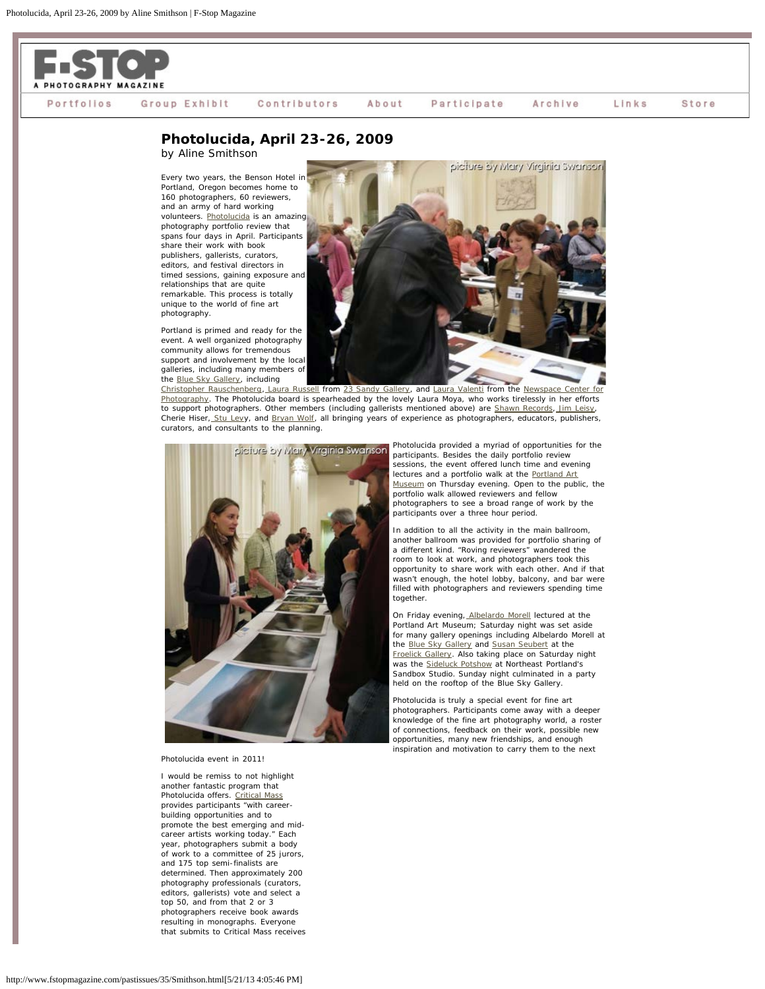

## Participate Portfolios Group Exhibit Contributors About Archive Links Store

## **Photolucida, April 23-26, 2009** by Aline Smithson

Every two years, the Benson Hotel in Portland, Oregon becomes home to

160 photographers, 60 reviewers, and an army of hard working volunteers. [Photolucida](http://www.fstopmagazine.com/http/www.photolucia.org) is an amazing photography portfolio review that spans four days in April. Participants share their work with book publishers, gallerists, curators, editors, and festival directors in timed sessions, gaining exposure and relationships that are quite remarkable. This process is totally unique to the world of fine art photography.

Portland is primed and ready for the event. A well organized photography community allows for tremendous support and involvement by the local galleries, including many members of the [Blue Sky Gallery,](http://www.blueskygallery.org/) including



[Christopher Rauschenberg,](http://www.christopherrauschenberg.com/Site/Home.html) [Laura Russell](http://www.laurarussell.net/) from [23 Sandy Gallery](http://www.23sandy.com/), and [Laura Valenti](http://www.valentiphotography.com/) from the [Newspace Center for](http://www.newspacephoto.org/) [Photography](http://www.newspacephoto.org/). The Photolucida board is spearheaded by the lovely Laura Moya, who works tirelessly in her efforts to support photographers. Other members (including gallerists mentioned above) are [Shawn Records,](http://www.shawnrecords.org/) [Jim Leisy](http://www.jimleisy.com/), Cherie Hiser, [Stu Lev](http://www.stulevyphoto.com/)y, and [Bryan Wolf,](http://www.bryanwolfphotography.com/) all bringing years of experience as photographers, educators, publishers, curators, and consultants to the planning.



## Photolucida event in 2011!

I would be remiss to not highlight another fantastic program that Photolucida offers. *[Critical Mass](http://www.photolucida.org/current.php)* provides participants "with careerbuilding opportunities and to promote the best emerging and midcareer artists working today." Each year, photographers submit a body of work to a committee of 25 jurors, and 175 top semi-finalists are determined. Then approximately 200 photography professionals (curators, editors, gallerists) vote and select a top 50, and from that 2 or 3 photographers receive book awards resulting in monographs. Everyone that submits to Critical Mass receives Photolucida provided a myriad of opportunities for the participants. Besides the daily portfolio review sessions, the event offered lunch time and evening lectures and a portfolio walk at the [Portland Art](http://portlandartmuseum.org/) [Museum](http://portlandartmuseum.org/) on Thursday evening. Open to the public, the portfolio walk allowed reviewers and fellow photographers to see a broad range of work by the participants over a three hour period.

In addition to all the activity in the main ballroom, another ballroom was provided for portfolio sharing of a different kind. "Roving reviewers" wandered the room to look at work, and photographers took this opportunity to share work with each other. And if that wasn't enough, the hotel lobby, balcony, and bar were filled with photographers and reviewers spending time together.

On Friday evening, [Albelardo Morell](http://www.abelardomorell.net/) lectured at the Portland Art Museum; Saturday night was set aside for many gallery openings including Albelardo Morell at the [Blue Sky Gallery](http://www.blueskygallery.org/) and [Susan Seubert](http://www.seubertfineart.com/) at the [Froelick Gallery.](http://www.froelickgallery.com/Artist-Detail.cfm?ArtistsID=250) Also taking place on Saturday night was the [Sideluck Potshow](http://www.slideluckpotshow.com/index2.php?PageName=about) at Northeast Portland's Sandbox Studio. Sunday night culminated in a party held on the rooftop of the Blue Sky Gallery.

Photolucida is truly a special event for fine art photographers. Participants come away with a deeper knowledge of the fine art photography world, a roster of connections, feedback on their work, possible new opportunities, many new friendships, and enough inspiration and motivation to carry them to the next